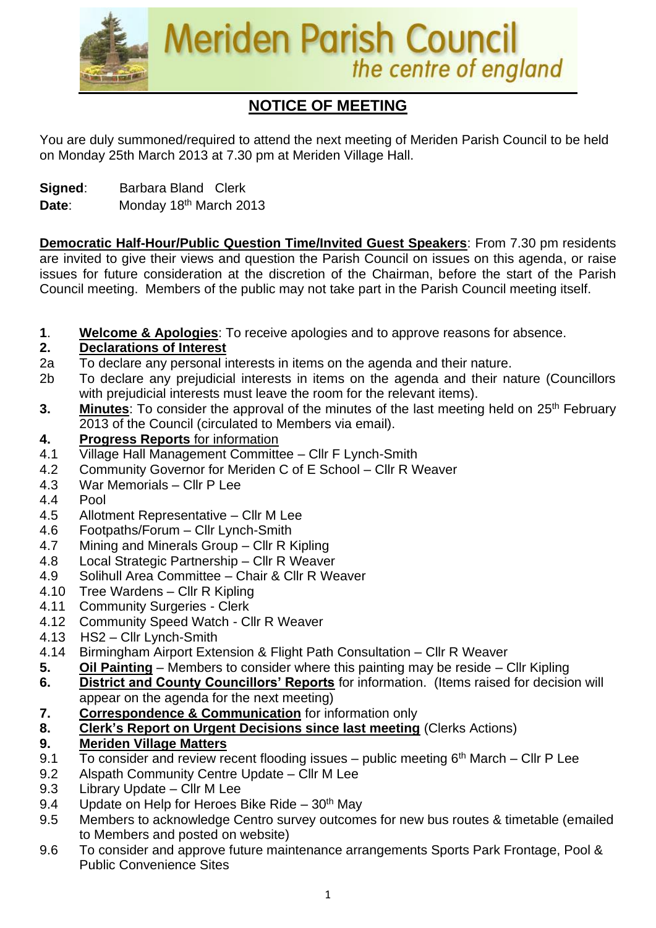

# **NOTICE OF MEETING**

You are duly summoned/required to attend the next meeting of Meriden Parish Council to be held on Monday 25th March 2013 at 7.30 pm at Meriden Village Hall.

**Signed**: Barbara Bland Clerk

Date: Monday 18<sup>th</sup> March 2013

**Democratic Half-Hour/Public Question Time/Invited Guest Speakers**: From 7.30 pm residents are invited to give their views and question the Parish Council on issues on this agenda, or raise issues for future consideration at the discretion of the Chairman, before the start of the Parish Council meeting. Members of the public may not take part in the Parish Council meeting itself.

**1**. **Welcome & Apologies**: To receive apologies and to approve reasons for absence.

## **2. Declarations of Interest**

- 2a To declare any personal interests in items on the agenda and their nature.
- 2b To declare any prejudicial interests in items on the agenda and their nature (Councillors with prejudicial interests must leave the room for the relevant items).
- **3.** Minutes: To consider the approval of the minutes of the last meeting held on 25<sup>th</sup> February 2013 of the Council (circulated to Members via email).
- **4. Progress Reports** for information
- 4.1 Village Hall Management Committee Cllr F Lynch-Smith
- 4.2 Community Governor for Meriden C of E School Cllr R Weaver
- 4.3 War Memorials Cllr P Lee
- 4.4 Pool
- 4.5 Allotment Representative Cllr M Lee
- 4.6 Footpaths/Forum Cllr Lynch-Smith
- 4.7 Mining and Minerals Group Cllr R Kipling
- 4.8 Local Strategic Partnership Cllr R Weaver
- 4.9 Solihull Area Committee Chair & Cllr R Weaver
- 4.10 Tree Wardens Cllr R Kipling
- 4.11 Community Surgeries Clerk
- 4.12 Community Speed Watch Cllr R Weaver
- 4.13 HS2 Cllr Lynch-Smith
- 4.14 Birmingham Airport Extension & Flight Path Consultation Cllr R Weaver
- **5. Oil Painting** Members to consider where this painting may be reside Cllr Kipling
- **6. District and County Councillors' Reports** for information. (Items raised for decision will appear on the agenda for the next meeting)
- **7. Correspondence & Communication** for information only
- **8. Clerk's Report on Urgent Decisions since last meeting** (Clerks Actions)

## **9. Meriden Village Matters**

- 9.1  $\overline{7}$  To consider and review recent flooding issues public meeting 6<sup>th</sup> March Cllr P Lee
- 9.2 Alspath Community Centre Update Cllr M Lee
- 9.3 Library Update Cllr M Lee
- 9.4 Update on Help for Heroes Bike Ride  $30<sup>th</sup>$  May
- 9.5 Members to acknowledge Centro survey outcomes for new bus routes & timetable (emailed to Members and posted on website)
- 9.6 To consider and approve future maintenance arrangements Sports Park Frontage, Pool & Public Convenience Sites